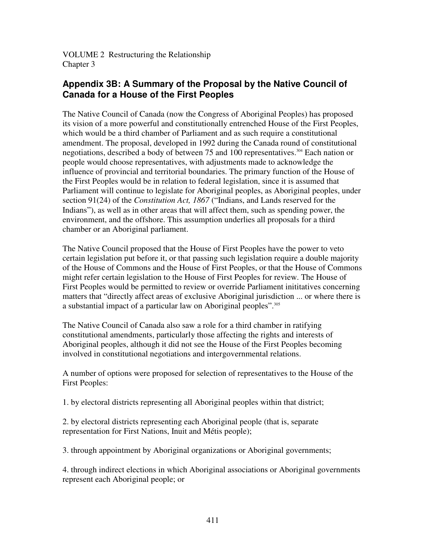VOLUME 2 Restructuring the Relationship Chapter 3

## **Appendix 3B: A Summary of the Proposal by the Native Council of Canada for a House of the First Peoples**

The Native Council of Canada (now the Congress of Aboriginal Peoples) has proposed its vision of a more powerful and constitutionally entrenched House of the First Peoples, which would be a third chamber of Parliament and as such require a constitutional amendment. The proposal, developed in 1992 during the Canada round of constitutional negotiations, described a body of between 75 and 100 representatives. <sup>304</sup> Each nation or people would choose representatives, with adjustments made to acknowledge the influence of provincial and territorial boundaries. The primary function of the House of the First Peoples would be in relation to federal legislation, since it is assumed that Parliament will continue to legislate for Aboriginal peoples, as Aboriginal peoples, under section 91(24) of the *Constitution Act, 1867* ("Indians, and Lands reserved for the Indians"), as well as in other areas that will affect them, such as spending power, the environment, and the offshore. This assumption underlies all proposals for a third chamber or an Aboriginal parliament.

The Native Council proposed that the House of First Peoples have the power to veto certain legislation put before it, or that passing such legislation require a double majority of the House of Commons and the House of First Peoples, or that the House of Commons might refer certain legislation to the House of First Peoples for review. The House of First Peoples would be permitted to review or override Parliament inititatives concerning matters that "directly affect areas of exclusive Aboriginal jurisdiction ... or where there is a substantial impact of a particular law on Aboriginal peoples". 305

The Native Council of Canada also saw a role for a third chamber in ratifying constitutional amendments, particularly those affecting the rights and interests of Aboriginal peoples, although it did not see the House of the First Peoples becoming involved in constitutional negotiations and intergovernmental relations.

A number of options were proposed for selection of representatives to the House of the First Peoples:

1. by electoral districts representing all Aboriginal peoples within that district;

2. by electoral districts representing each Aboriginal people (that is, separate representation for First Nations, Inuit and Métis people);

3. through appointment by Aboriginal organizations or Aboriginal governments;

4. through indirect elections in which Aboriginal associations or Aboriginal governments represent each Aboriginal people; or